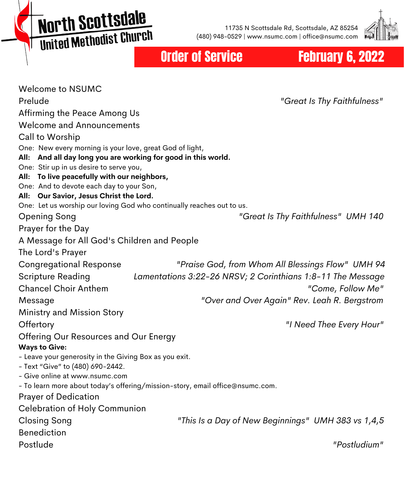**North Scottsdale MOI'LII SCO CESCRIPT** 

11735 N Scottsdale Rd, Scottsdale, AZ 85254 (480) 948-0529 | www.nsumc.com | office@nsumc.com



Order of Service February 6, 2022

| <b>Welcome to NSUMC</b>                                               |                                                                               |
|-----------------------------------------------------------------------|-------------------------------------------------------------------------------|
| Prelude                                                               | "Great Is Thy Faithfulness"                                                   |
| Affirming the Peace Among Us                                          |                                                                               |
| <b>Welcome and Announcements</b>                                      |                                                                               |
| Call to Worship                                                       |                                                                               |
| One: New every morning is your love, great God of light,              |                                                                               |
| All: And all day long you are working for good in this world.         |                                                                               |
| One: Stir up in us desire to serve you,                               |                                                                               |
| All: To live peacefully with our neighbors,                           |                                                                               |
| One: And to devote each day to your Son,                              |                                                                               |
| All: Our Savior, Jesus Christ the Lord.                               |                                                                               |
| One: Let us worship our loving God who continually reaches out to us. |                                                                               |
| <b>Opening Song</b>                                                   | "Great Is Thy Faithfulness" UMH 140                                           |
| Prayer for the Day                                                    |                                                                               |
| A Message for All God's Children and People                           |                                                                               |
| The Lord's Prayer                                                     |                                                                               |
| <b>Congregational Response</b>                                        | "Praise God, from Whom All Blessings Flow" UMH 94                             |
| Scripture Reading                                                     | Lamentations 3:22-26 NRSV; 2 Corinthians 1:8-11 The Message                   |
| <b>Chancel Choir Anthem</b>                                           | "Come, Follow Me"                                                             |
| Message                                                               | "Over and Over Again" Rev. Leah R. Bergstrom                                  |
| Ministry and Mission Story                                            |                                                                               |
| Offertory                                                             | "I Need Thee Every Hour"                                                      |
| Offering Our Resources and Our Energy                                 |                                                                               |
| <b>Ways to Give:</b>                                                  |                                                                               |
| - Leave your generosity in the Giving Box as you exit.                |                                                                               |
| - Text "Give" to (480) 690-2442.                                      |                                                                               |
| - Give online at www.nsumc.com                                        |                                                                               |
|                                                                       | - To learn more about today's offering/mission-story, email office@nsumc.com. |
| Prayer of Dedication                                                  |                                                                               |
| <b>Celebration of Holy Communion</b>                                  |                                                                               |
| <b>Closing Song</b>                                                   | "This Is a Day of New Beginnings" UMH 383 vs 1,4,5                            |
| Benediction                                                           |                                                                               |
|                                                                       |                                                                               |
| Postlude                                                              | "Postludium"                                                                  |